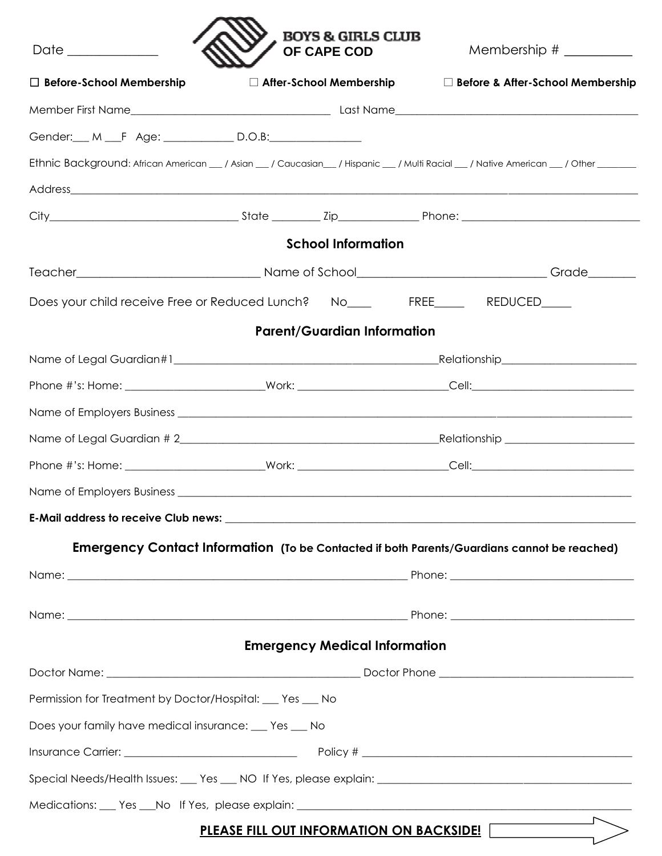| Date _____________                                                                                                                   | <b>BOYS &amp; GIRLS CLUB</b><br>OF CAPE COD |                                                                                                    |
|--------------------------------------------------------------------------------------------------------------------------------------|---------------------------------------------|----------------------------------------------------------------------------------------------------|
| $\Box$ Before-School Membership                                                                                                      |                                             | $\Box$ After-School Membership $\Box$ Before & After-School Membership                             |
|                                                                                                                                      |                                             |                                                                                                    |
| Gender: M F Age: __________ D.O.B: ______________                                                                                    |                                             |                                                                                                    |
| Ethnic Background: African American __ / Asian __ / Caucasian__ / Hispanic __ / Multi Racial __ / Native American __ / Other _______ |                                             |                                                                                                    |
|                                                                                                                                      |                                             |                                                                                                    |
|                                                                                                                                      |                                             |                                                                                                    |
|                                                                                                                                      | <b>School Information</b>                   |                                                                                                    |
|                                                                                                                                      |                                             |                                                                                                    |
|                                                                                                                                      |                                             |                                                                                                    |
|                                                                                                                                      | <b>Parent/Guardian Information</b>          |                                                                                                    |
|                                                                                                                                      |                                             |                                                                                                    |
|                                                                                                                                      |                                             |                                                                                                    |
|                                                                                                                                      |                                             |                                                                                                    |
|                                                                                                                                      |                                             |                                                                                                    |
|                                                                                                                                      |                                             |                                                                                                    |
| Name of Employers Business                                                                                                           |                                             |                                                                                                    |
|                                                                                                                                      |                                             |                                                                                                    |
|                                                                                                                                      |                                             | <b>Emergency Contact Information</b> (To be Contacted if both Parents/Guardians cannot be reached) |
|                                                                                                                                      |                                             |                                                                                                    |
|                                                                                                                                      |                                             |                                                                                                    |
|                                                                                                                                      |                                             |                                                                                                    |
|                                                                                                                                      | <b>Emergency Medical Information</b>        |                                                                                                    |
|                                                                                                                                      |                                             |                                                                                                    |
| Permission for Treatment by Doctor/Hospital: ___ Yes ___ No                                                                          |                                             |                                                                                                    |
| Does your family have medical insurance: __ Yes __ No                                                                                |                                             |                                                                                                    |
|                                                                                                                                      |                                             |                                                                                                    |
|                                                                                                                                      |                                             |                                                                                                    |
|                                                                                                                                      |                                             |                                                                                                    |
|                                                                                                                                      |                                             | PLEASE FILL OUT INFORMATION ON BACKSIDE!                                                           |